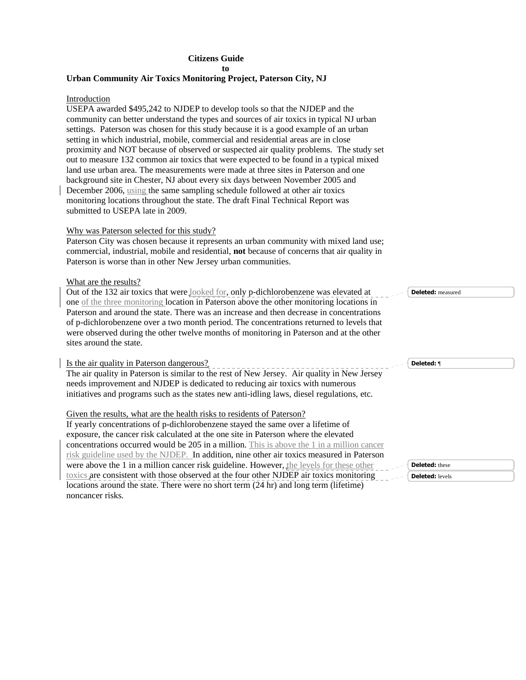# **Citizens Guide**

**to** 

# **Urban Community Air Toxics Monitoring Project, Paterson City, NJ**

# Introduction

USEPA awarded \$495,242 to NJDEP to develop tools so that the NJDEP and the community can better understand the types and sources of air toxics in typical NJ urban settings. Paterson was chosen for this study because it is a good example of an urban setting in which industrial, mobile, commercial and residential areas are in close proximity and NOT because of observed or suspected air quality problems. The study set out to measure 132 common air toxics that were expected to be found in a typical mixed land use urban area. The measurements were made at three sites in Paterson and one background site in Chester, NJ about every six days between November 2005 and December 2006, using the same sampling schedule followed at other air toxics monitoring locations throughout the state. The draft Final Technical Report was submitted to USEPA late in 2009.

### Why was Paterson selected for this study?

Paterson City was chosen because it represents an urban community with mixed land use; commercial, industrial, mobile and residential, **not** because of concerns that air quality in Paterson is worse than in other New Jersey urban communities.

### What are the results?

Out of the 132 air toxics that were looked for, only p-dichlorobenzene was elevated at one of the three monitoring location in Paterson above the other monitoring locations in Paterson and around the state. There was an increase and then decrease in concentrations of p-dichlorobenzene over a two month period. The concentrations returned to levels that were observed during the other twelve months of monitoring in Paterson and at the other sites around the state. Is the air quality in Paterson dangerous? The air quality in Paterson is similar to the rest of New Jersey. Air quality in New Jersey **Deleted:** measured **Deleted:** ¶

needs improvement and NJDEP is dedicated to reducing air toxics with numerous initiatives and programs such as the states new anti-idling laws, diesel regulations, etc.

### Given the results, what are the health risks to residents of Paterson?

If yearly concentrations of p-dichlorobenzene stayed the same over a lifetime of exposure, the cancer risk calculated at the one site in Paterson where the elevated concentrations occurred would be 205 in a million. This is above the 1 in a million cancer risk guideline used by the NJDEP. In addition, nine other air toxics measured in Paterson were above the 1 in a million cancer risk guideline. However, the levels for these other toxics are consistent with those observed at the four other NJDEP air toxics monitoring locations around the state. There were no short term (24 hr) and long term (lifetime) noncancer risks.

|     | <b>ted:</b> these  |  |
|-----|--------------------|--|
| - - | <b>ted:</b> levels |  |